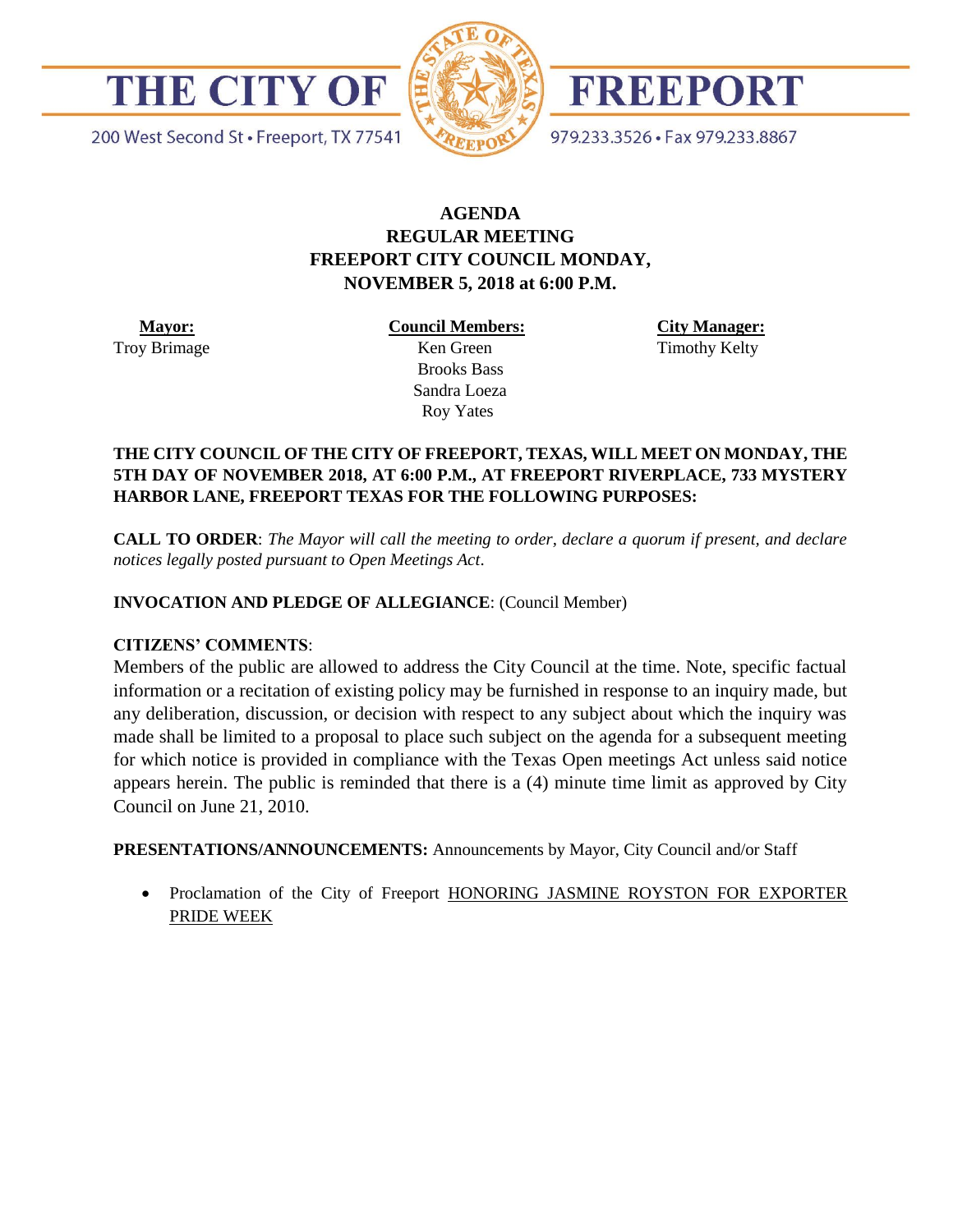

200 West Second St · Freeport, TX 77541



FREEPORT

979.233.3526 · Fax 979.233.8867

# **AGENDA REGULAR MEETING FREEPORT CITY COUNCIL MONDAY, NOVEMBER 5, 2018 at 6:00 P.M.**

 **Mayor:** Troy Brimage **Council Members:**

 Ken Green Brooks Bass Sandra Loeza Roy Yates

**City Manager:** Timothy Kelty

### **THE CITY COUNCIL OF THE CITY OF FREEPORT, TEXAS, WILL MEET ON MONDAY, THE 5TH DAY OF NOVEMBER 2018, AT 6:00 P.M., AT FREEPORT RIVERPLACE, 733 MYSTERY HARBOR LANE, FREEPORT TEXAS FOR THE FOLLOWING PURPOSES:**

**CALL TO ORDER**: *The Mayor will call the meeting to order, declare a quorum if present, and declare notices legally posted pursuant to Open Meetings Act*.

### **INVOCATION AND PLEDGE OF ALLEGIANCE**: (Council Member)

#### **CITIZENS' COMMENTS**:

Members of the public are allowed to address the City Council at the time. Note, specific factual information or a recitation of existing policy may be furnished in response to an inquiry made, but any deliberation, discussion, or decision with respect to any subject about which the inquiry was made shall be limited to a proposal to place such subject on the agenda for a subsequent meeting for which notice is provided in compliance with the Texas Open meetings Act unless said notice appears herein. The public is reminded that there is a (4) minute time limit as approved by City Council on June 21, 2010.

**PRESENTATIONS/ANNOUNCEMENTS:** Announcements by Mayor, City Council and/or Staff

• Proclamation of the City of Freeport HONORING JASMINE ROYSTON FOR EXPORTER PRIDE WEEK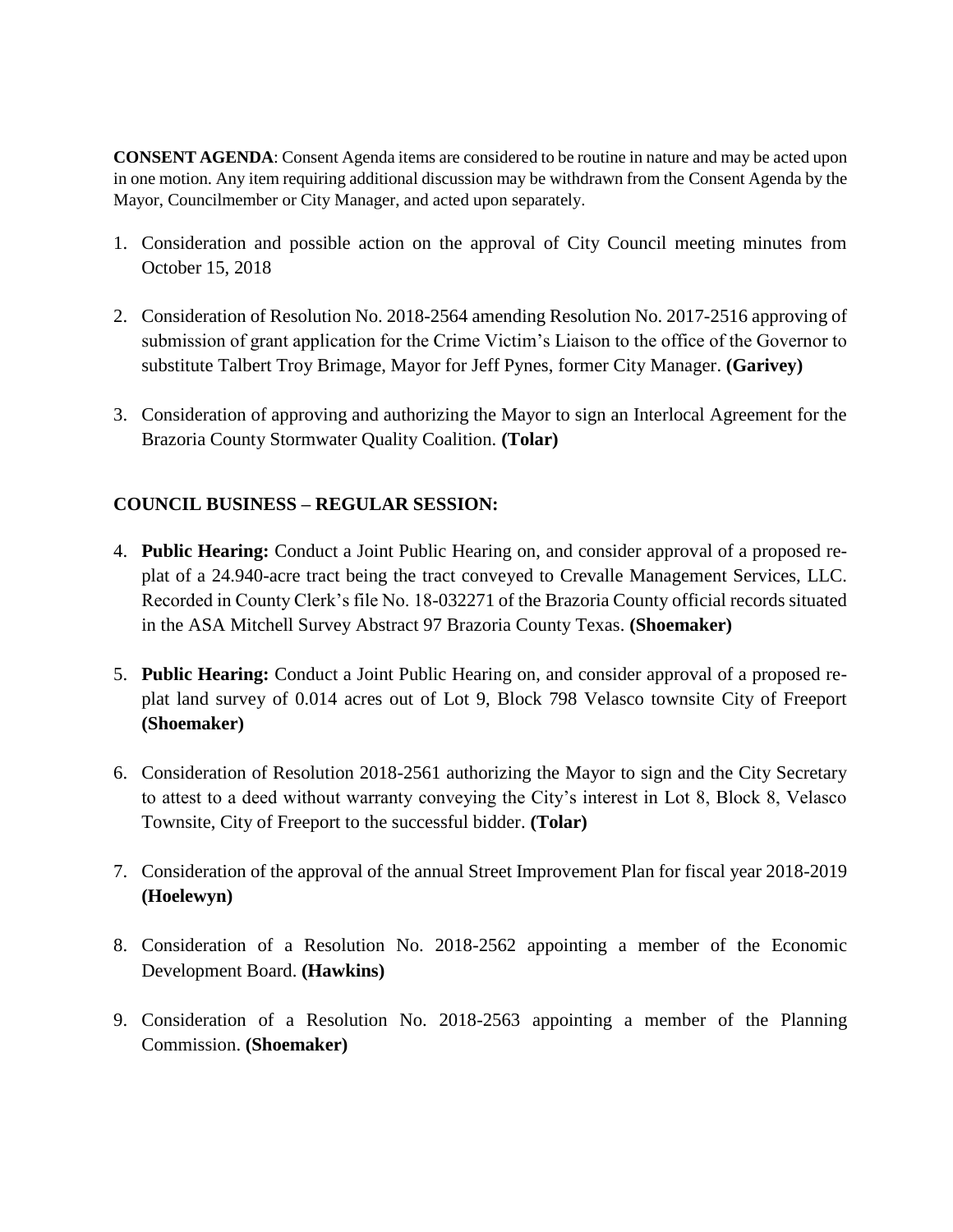**CONSENT AGENDA**: Consent Agenda items are considered to be routine in nature and may be acted upon in one motion. Any item requiring additional discussion may be withdrawn from the Consent Agenda by the Mayor, Councilmember or City Manager, and acted upon separately.

- 1. Consideration and possible action on the approval of City Council meeting minutes from October 15, 2018
- 2. Consideration of Resolution No. 2018-2564 amending Resolution No. 2017-2516 approving of submission of grant application for the Crime Victim's Liaison to the office of the Governor to substitute Talbert Troy Brimage, Mayor for Jeff Pynes, former City Manager. **(Garivey)**
- 3. Consideration of approving and authorizing the Mayor to sign an Interlocal Agreement for the Brazoria County Stormwater Quality Coalition. **(Tolar)**

# **COUNCIL BUSINESS – REGULAR SESSION:**

- 4. **Public Hearing:** Conduct a Joint Public Hearing on, and consider approval of a proposed replat of a 24.940-acre tract being the tract conveyed to Crevalle Management Services, LLC. Recorded in County Clerk's file No. 18-032271 of the Brazoria County official records situated in the ASA Mitchell Survey Abstract 97 Brazoria County Texas. **(Shoemaker)**
- 5. **Public Hearing:** Conduct a Joint Public Hearing on, and consider approval of a proposed replat land survey of 0.014 acres out of Lot 9, Block 798 Velasco townsite City of Freeport **(Shoemaker)**
- 6. Consideration of Resolution 2018-2561 authorizing the Mayor to sign and the City Secretary to attest to a deed without warranty conveying the City's interest in Lot 8, Block 8, Velasco Townsite, City of Freeport to the successful bidder. **(Tolar)**
- 7. Consideration of the approval of the annual Street Improvement Plan for fiscal year 2018-2019 **(Hoelewyn)**
- 8. Consideration of a Resolution No. 2018-2562 appointing a member of the Economic Development Board. **(Hawkins)**
- 9. Consideration of a Resolution No. 2018-2563 appointing a member of the Planning Commission. **(Shoemaker)**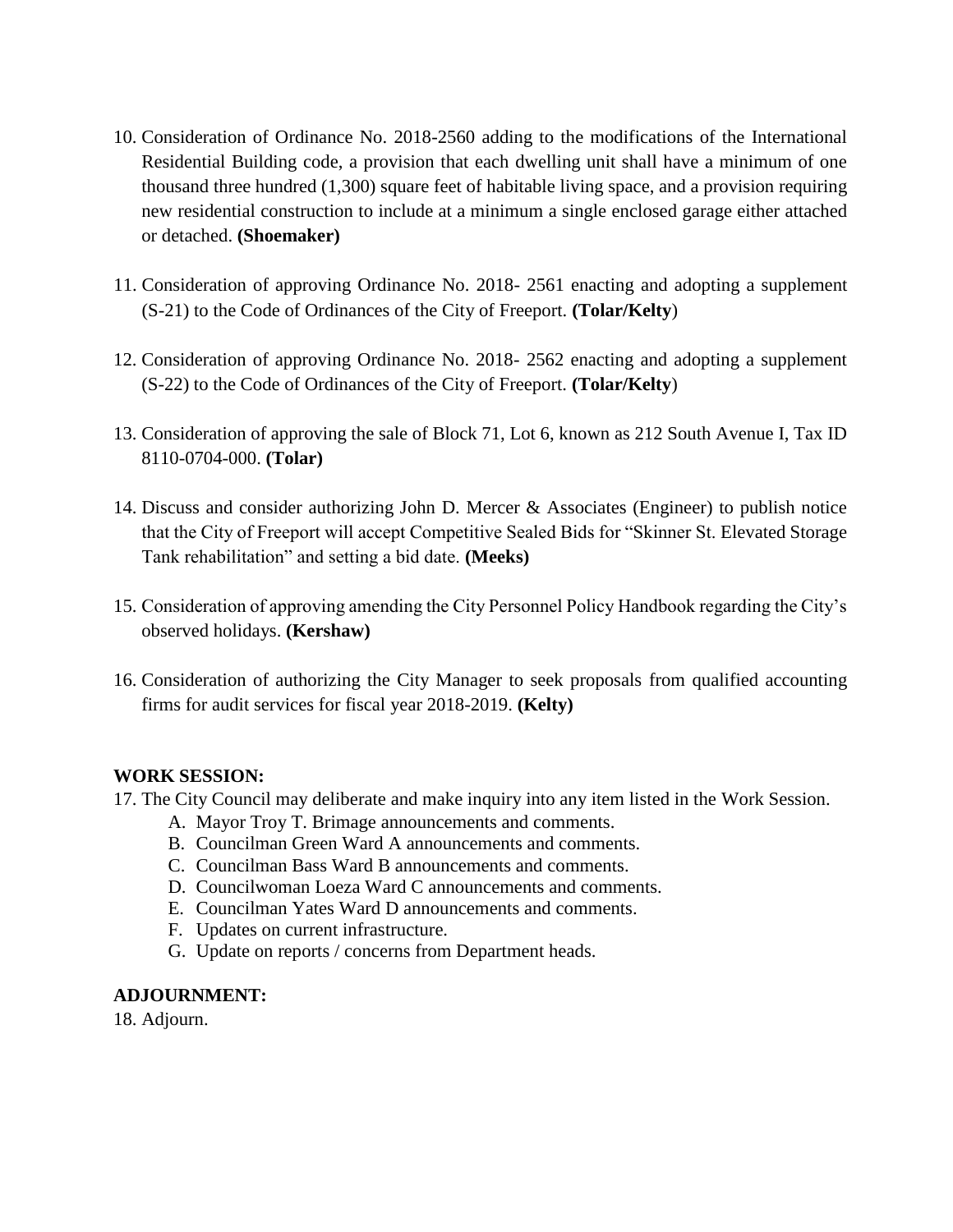- 10. Consideration of Ordinance No. 2018-2560 adding to the modifications of the International Residential Building code, a provision that each dwelling unit shall have a minimum of one thousand three hundred (1,300) square feet of habitable living space, and a provision requiring new residential construction to include at a minimum a single enclosed garage either attached or detached. **(Shoemaker)**
- 11. Consideration of approving Ordinance No. 2018- 2561 enacting and adopting a supplement (S-21) to the Code of Ordinances of the City of Freeport. **(Tolar/Kelty**)
- 12. Consideration of approving Ordinance No. 2018- 2562 enacting and adopting a supplement (S-22) to the Code of Ordinances of the City of Freeport. **(Tolar/Kelty**)
- 13. Consideration of approving the sale of Block 71, Lot 6, known as 212 South Avenue I, Tax ID 8110-0704-000. **(Tolar)**
- 14. Discuss and consider authorizing John D. Mercer & Associates (Engineer) to publish notice that the City of Freeport will accept Competitive Sealed Bids for "Skinner St. Elevated Storage Tank rehabilitation" and setting a bid date. **(Meeks)**
- 15. Consideration of approving amending the City Personnel Policy Handbook regarding the City's observed holidays. **(Kershaw)**
- 16. Consideration of authorizing the City Manager to seek proposals from qualified accounting firms for audit services for fiscal year 2018-2019. **(Kelty)**

## **WORK SESSION:**

- 17. The City Council may deliberate and make inquiry into any item listed in the Work Session.
	- A. Mayor Troy T. Brimage announcements and comments.
	- B. Councilman Green Ward A announcements and comments.
	- C. Councilman Bass Ward B announcements and comments.
	- D. Councilwoman Loeza Ward C announcements and comments.
	- E. Councilman Yates Ward D announcements and comments.
	- F. Updates on current infrastructure.
	- G. Update on reports / concerns from Department heads.

## **ADJOURNMENT:**

18. Adjourn.